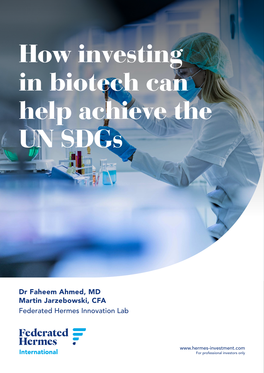# How investing in biotech can help achieve the UN SDGS

Dr Faheem Ahmed, MD Martin Jarzebowski, CFA

Federated Hermes Innovation Lab



www.hermes-investment.com For professional investors only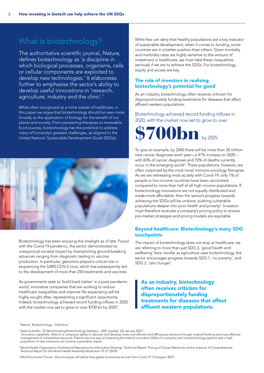# What is biotechnology?

The authoritative scientific journal, *Nature*, defines biotechnology as 'a discipline in which biological processes, organisms, cells or cellular components are exploited to develop new technologies.' It elaborates further to emphasise the sector's ability to develop useful innovations in 'research, agriculture, industry and the clinic<sup>1</sup>.'

While often recognised as a niche subset of healthcare, in this paper we argue that biotechnology should be seen more broadly as the application of biology for the benefit of our planet and society. From pioneering therapies to renewable food sources, biotechnology has the potential to address many of humanity's greatest challenges, as aligned to the United Nations' Sustainable Development Goals (SDGs).



Biotechnology has been enjoying the limelight as of late. Faced with the Covid-19 pandemic, the sector demonstrated its unequivocal societal impact by championing ground-breaking advances ranging from diagnostic testing to vaccine production. In particular, genomics played a critical role in sequencing the SARS-COV-2 virus, which has subsequently led to the development of more than 250 treatments and vaccines.

As governments seek to 'build back better' in a post-pandemic world, innovative companies that are working to reduce healthcare inequalities and improve life expectancy will be highly sought after, representing a significant opportunity. Indeed, biotechnology achieved record funding inflows in 2020, with the market now set to grow to over \$700 bn by 2025 $^2$ .

While few can deny that healthy populations are a key indicator of sustainable development, when it comes to funding, some countries are in a better position than others. Given mortality and morbidity rates are highly sensitive to the amount of investment in healthcare, we must take these inequalities seriously if we are to achieve the SDGs. For biotechnology, equity and access are key.

# The role of investors in realising biotechnology's potential for good

As an industry, biotechnology often receives criticism for disproportionately funding treatments for diseases that affect affluent western populations.

## Biotechnology achieved record funding inflows in 2020, with the market now set to grow to over



To give an example, by 2040 there will be more than 30 million new cancer diagnoses each year—a 47% increase on 2020 – with 60% of cancer diagnoses and 70% of deaths currently occur in the emerging world<sup>3</sup>. These populations, however, are often outpriced by the most novel immuno-oncology therapies. As we are witnessing most acutely with Covid-19, only 1% of people in low-income countries have been vaccinated, compared to more than half of all high-income populations. If biotechnology innovations are not equally distributed and made more affordable, then the sector's progress towards achieving the SDGs will be undone, pushing vulnerable populations deeper into poor health and poverty<sup>4</sup>. Investors must therefore evaluate a company's pricing policy to ensure pre-market strategies and pricing models are equitable.

## Beyond healthcare: Biotechnology's many SDG touchpoints

The impact of biotechnology does not stop at healthcare; we are referring to more than just SDG 3, 'good health and wellbeing' here. Insofar as agriculture uses biotechnology, the sector encourages progress towards SDG 1, 'no poverty', and SDG 2, 'zero hunger'.

As an industry, biotechnology often receives criticism for disproportionately funding treatments for diseases that affect affluent western populations.

<sup>1</sup> Nature, 'Biotechnology – Definition'

<sup>2</sup> Seed Scientific, '32 Mind-blowing Biotechnology Statistics – 2021 Update' (22 January 2021) 'Innovation capability' refers to a company's ability to discover and develop more cost-efficient and efficacious solutions through original thinking and more effective management of competitive resources. Patents are one way of measuring the internal innovation DNA of a company and a biotechnology pipeline with a high proportion of new inventions can achieve sustainable impact.

 $^3$  World Health Organisation (Institutional Repository for Information Sharing), 'Technical Report: Pricing of Cancer Medicines and its Impacts: A Comprehensive Technical Report for the World Health Assembly Resolution 70.12' (2018)

<sup>4</sup> World Economic Forum, 'Vaccine equity will define how global economies recover from Covid-19' (12 August 2021)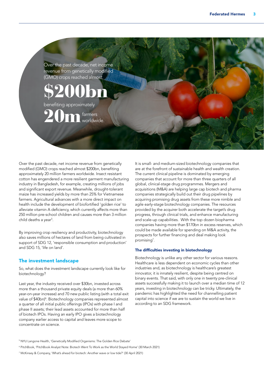Over the past decade, net income revenue from genetically modified (GMO) crops reached almost

\$200bn benefiting approximately

> farmers worldwide.

20m

Over the past decade, net income revenue from genetically modified (GMO) crops reached almost \$200bn, benefiting approximately 20 million farmers worldwide. Insect resistant cotton has engendered a more resilient garment manufacturing industry in Bangladesh, for example, creating millions of jobs and significant export revenue. Meanwhile, drought-tolerant maize has increased yields by more than 25% for Vietnamese farmers. Agricultural advances with a more direct impact on health include the development of biofortified 'golden rice' to alleviate vitamin A deficiency, which currently affects more than 250 million pre-school children and causes more than 3 million child deaths a year<sup>5</sup>.

By improving crop resiliency and productivity, biotechnology also saves millions of hectares of land from being cultivated in support of SDG 12, 'responsible consumption and production' and SDG 15, 'life on land'.

#### The investment landscape

So, what does the investment landscape currently look like for biotechnology?

Last year, the industry received over \$30bn, invested across more than a thousand private equity deals (a more than 60% year-on-year increase) and 70 new public listing (with a total exit value of \$40bn)<sup>6</sup>. Biotechnology companies represented almost a quarter of all initial public offerings (IPOs) with phase I and phase II assets; their lead assets accounted for more than half of biotech IPOs. Having an early IPO gives a biotechnology company earlier access to capital and leaves more scope to concentrate on science.

It is small- and medium-sized biotechnology companies that are at the forefront of sustainable health and wealth creation. The current clinical pipeline is dominated by emerging companies that account for more than three quarters of all global, clinical-stage drug programmes. Mergers and acquisitions (M&A) are helping large cap biotech and pharma companies strategically build out their drug pipelines by acquiring promising drug assets from these more nimble and agile early-stage biotechnology companies. The resources provided by the acquirer both accelerate the target's drug progress, through clinical trials, and enhance manufacturing and scale-up capabilities. With the top dozen biopharma companies having more than \$170bn in excess reserves, which could be made available for spending on M&A activity, the prospects for further financing and deal making look promising<sup>7</sup>.

#### The difficulties investing in biotechnology

Biotechnology is unlike any other sector for various reasons. Healthcare is less dependent on economic cycles than other industries and, as biotechnology is healthcare's greatest innovator, it is innately resilient, despite being centred on binary events. That said, with only one in twenty pre-clinical assets successfully making it to launch over a median time of 12 years, investing in biotechnology can be tricky. Ultimately, the pandemic has highlighted the need for channelling patient capital into science if we are to sustain the world we live in according to an SDG framework.

7 McKinsey & Company, 'What's ahead for biotech: Another wave or low tide?' (30 April 2021)

<sup>5</sup> NYU Langone Health, 'Genetically Modified Organisms: The Golden Rice Debate'

<sup>6</sup> PitchBook, 'PitchBook Analyst Note: Biotech Went To Work as the World Stayed Home' (30 March 2021)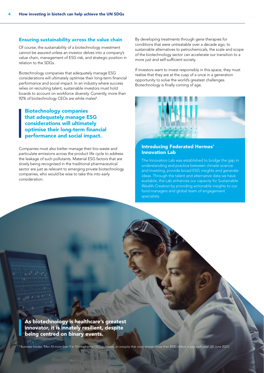#### Ensuring sustainability across the value chain

Of course, the sustainability of a biotechnology investment cannot be assured unless an investor delves into a company's value chain, management of ESG risk, and strategic position in relation to the SDGs.

Biotechnology companies that adequately manage ESG considerations will ultimately optimise their long-term financial performance and social impact. In an industry where success relies on recruiting talent, sustainable investors must hold boards to account on workforce diversity. Currently, more than 92% of biotechnology CEOs are white males<sup>8</sup>.

# Biotechnology companies that adequately manage ESG considerations will ultimately optimise their long-term financial performance and social impact.

Companies must also better manage their bio-waste and particulate emissions across the product life cycle to address the leakage of such pollutants. Material ESG factors that are slowly being recognised in the traditional pharmaceutical sector are just as relevant to emerging private biotechnology companies, who would be wise to take this into early consideration.

By developing treatments through gene therapies for conditions that were untreatable over a decade ago, to sustainable alternatives to petrochemicals, the scale and scope of the biotechnology sector can accelerate our transition to a more just and self-sufficient society.

If investors want to invest responsibly in this space, they must realise that they are at the cusp of a once in a generation opportunity to solve the world's greatest challenges. Biotechnology is finally coming of age.



#### Introducing Federated Hermes' Innovation Lab

The Innovation Lab was established to bridge the gap in understanding and practice between climate science and investing, provide broad ESG insights and generate ideas. Through the talent and alternative data we have available, the Lab enhances our capacity for Sustainable Wealth Creation by providing actionable insights to our fund managers and global team of engagement specialists.

As biotechnology is healthcare's greatest innovator, it is innately resilient, despite being centred on binary events.

8 Business Insider, 'Men fill more than 9 in 10 biopharma CEO positions, an inequity that costs women more than \$500 million in pay each year' (30 June 2021)